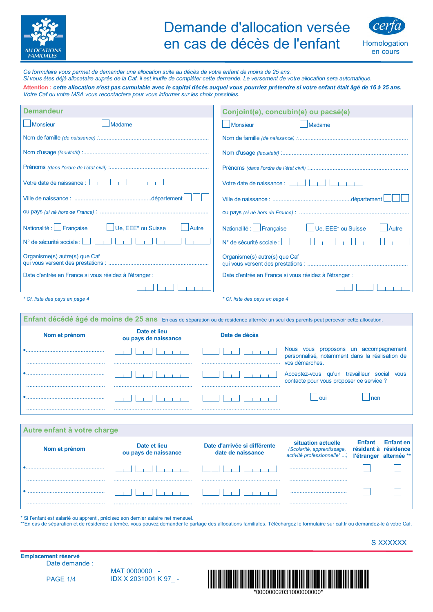

## Demande d'allocation versée en cas de décès de l'enfant



Homologation en cours

Ce formulaire vous permet de demander une allocation suite au décès de votre enfant de moins de 25 ans. Si vous êtes déjà allocataire auprès de la Caf, il est inutile de compléter cette demande. Le versement de votre allocation sera automatique.

Attention : cette allocation n'est pas cumulable avec le capital décès auquel vous pourriez prétendre si votre enfant était âgé de 16 à 25 ans. Votre Caf ou votre MSA vous recontactera pour vous informer sur les choix possibles.

| Demandeur                                                   | Conjoint(e), concubin(e) ou pacsé(e)                                 |
|-------------------------------------------------------------|----------------------------------------------------------------------|
| <b>Monsieur</b><br>Madame                                   | Monsieur<br>Madame                                                   |
|                                                             |                                                                      |
|                                                             |                                                                      |
|                                                             |                                                                      |
| Votre date de naissance : $\boxed{\phantom{a}1\phantom{a}}$ |                                                                      |
|                                                             |                                                                      |
|                                                             |                                                                      |
| Nationalité : Française UUe, EEE* ou Suisse<br>Autre        | Nationalité : Française Ule, EEE* ou Suisse<br>Autre                 |
| N° de sécurité sociale :                                    | N° de sécurité sociale : $\boxed{\phantom{a}}$ $\boxed{\phantom{a}}$ |
| Organisme(s) autre(s) que Caf                               | Organisme(s) autre(s) que Caf                                        |
| Date d'entrée en France si vous résidez à l'étranger :      | Date d'entrée en France si vous résidez à l'étranger :               |
|                                                             |                                                                      |
| * Cf. liste des pays en page 4                              | * Cf. liste des pays en page 4                                       |

| Enfant décédé âgé de moins de 25 ans En cas de séparation ou de résidence alternée un seul des parents peut percevoir cette allocation. |                                      |               |                                                                                            |
|-----------------------------------------------------------------------------------------------------------------------------------------|--------------------------------------|---------------|--------------------------------------------------------------------------------------------|
| Nom et prénom                                                                                                                           | Date et lieu<br>ou pays de naissance | Date de décès |                                                                                            |
|                                                                                                                                         |                                      |               | vous proposons un accompagnement<br>Nous<br>personnalisé, notamment dans la réalisation de |
|                                                                                                                                         |                                      |               | vos démarches.                                                                             |
|                                                                                                                                         |                                      |               | Acceptez-vous qu'un travailleur social vous<br>contacte pour vous proposer ce service?     |
|                                                                                                                                         |                                      |               |                                                                                            |
|                                                                                                                                         |                                      |               |                                                                                            |

| Autre enfant à votre charge |                                      |                                                   |                                                                                 |                             |                                                         |
|-----------------------------|--------------------------------------|---------------------------------------------------|---------------------------------------------------------------------------------|-----------------------------|---------------------------------------------------------|
| Nom et prénom               | Date et lieu<br>ou pays de naissance | Date d'arrivée si différente<br>date de naissance | situation actuelle<br>(Scolarité, apprentissage,<br>activité professionnelle* ) | <b>Enfant</b><br>résidant à | <b>Enfant</b> en<br>résidence<br>l'étranger alternée ** |
|                             |                                      |                                                   |                                                                                 |                             |                                                         |
|                             |                                      |                                                   |                                                                                 |                             |                                                         |
|                             |                                      |                                                   |                                                                                 |                             |                                                         |

\* Si l'enfant est salarié ou apprenti, précisez son dernier salaire net mensuel.

\*\*En cas de séparation et de résidence alternée, vous pouvez demander le partage des allocations familiales. Téléchargez le formulaire sur caf.fr ou demandez-le à votre Caf.

S XXXXXX

Emplacement réservé Date demande :

**PAGE 1/4** 

MAT 0000000 -IDX X 2031001 K 97 -

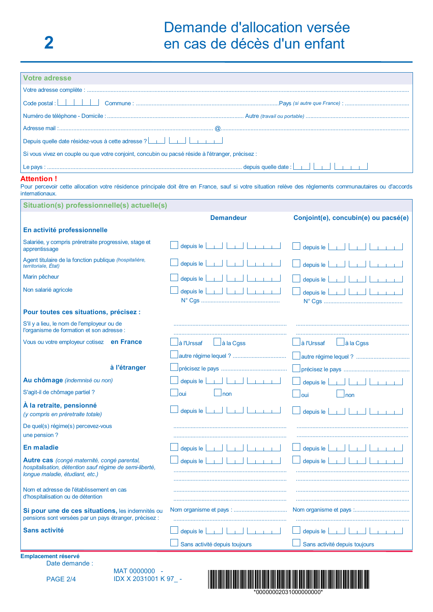| <b>Votre adresse</b>                                                                                                                                                                        |                                                     |                                             |  |
|---------------------------------------------------------------------------------------------------------------------------------------------------------------------------------------------|-----------------------------------------------------|---------------------------------------------|--|
|                                                                                                                                                                                             |                                                     |                                             |  |
| $Code$ postal : $\Box$                                                                                                                                                                      |                                                     |                                             |  |
|                                                                                                                                                                                             |                                                     |                                             |  |
|                                                                                                                                                                                             |                                                     |                                             |  |
| Depuis quelle date résidez-vous à cette adresse ?<br>$\boxed{\phantom{a} \phantom{a}}$                                                                                                      |                                                     |                                             |  |
| Si vous vivez en couple ou que votre conjoint, concubin ou pacsé réside à l'étranger, précisez :                                                                                            |                                                     |                                             |  |
|                                                                                                                                                                                             |                                                     |                                             |  |
| Attention !<br>Pour percevoir cette allocation votre résidence principale doit être en France, sauf si votre situation relève des règlements communautaires ou d'accords<br>internationaux. |                                                     |                                             |  |
| Situation(s) professionnelle(s) actuelle(s)                                                                                                                                                 |                                                     |                                             |  |
|                                                                                                                                                                                             | <b>Demandeur</b>                                    | Conjoint(e), concubin(e) ou pacsé(e)        |  |
| En activité professionnelle                                                                                                                                                                 |                                                     |                                             |  |
| Salariée, y compris préretraite progressive, stage et<br>apprentissage                                                                                                                      | depuis $\left e\right $<br>and Lind<br>$-1 - 1 - 1$ | depuis le <b>Le Le Le Le Le</b>             |  |
| Agent titulaire de la fonction publique (hospitalière,<br>territoriale, État)                                                                                                               | depuis le                                           | depuis $ e $                                |  |
| Marin pêcheur                                                                                                                                                                               | depuis le                                           | depuis le                                   |  |
| Non salarié agricole                                                                                                                                                                        | depuis le $\boxed{\phantom{a}}$                     | depuis le $\boxed{\phantom{a}}$             |  |
| Pour toutes ces situations, précisez :                                                                                                                                                      |                                                     |                                             |  |
| S'il y a lieu, le nom de l'employeur ou de<br>l'organisme de formation et son adresse :                                                                                                     |                                                     |                                             |  |
| Vous ou votre employeur cotisez en France                                                                                                                                                   | $\Box$ à la Cgss<br>à l'Urssaf                      | ⊿à l'Urssaf<br>$L$ à la Cgss                |  |
|                                                                                                                                                                                             |                                                     |                                             |  |
| à l'étranger                                                                                                                                                                                |                                                     |                                             |  |
| Au chômage (indemnisé ou non)                                                                                                                                                               | depuis le <b>Le Le Le Le Le Le Le Le Le</b>         | depuis le $\boxed{\phantom{a}}$             |  |
| S'agit-il de chômage partiel ?                                                                                                                                                              | oui<br>$\Box$ non                                   | $\overline{\phantom{a}}$ oui<br>$\Box$ non  |  |
| À la retraite, pensionné<br>(y compris en préretraite totale)                                                                                                                               | depuis le $\lfloor$<br>an Handi<br>$-1 - 1 - 1$     | depuis le $\boxed{\phantom{a}1\phantom{a}}$ |  |
| De quel(s) régime(s) percevez-vous                                                                                                                                                          |                                                     |                                             |  |
| une pension?                                                                                                                                                                                |                                                     |                                             |  |
| <b>En maladie</b>                                                                                                                                                                           | depuis le                                           | depuis le                                   |  |
| Autre cas (congé maternité, congé parental,<br>hospitalisation, détention sauf régime de semi-liberté,<br>longue maladie, étudiant, etc.)                                                   | depuis le                                           | depuis le                                   |  |
| Nom et adresse de l'établissement en cas<br>d'hospitalisation ou de détention                                                                                                               |                                                     |                                             |  |
| Si pour une de ces situations, les indemnités ou<br>pensions sont versées par un pays étranger, précisez :                                                                                  |                                                     |                                             |  |
| <b>Sans activité</b>                                                                                                                                                                        | depuis le                                           | depuis $le$                                 |  |
|                                                                                                                                                                                             | Sans activité depuis toujours                       | Sans activité depuis toujours               |  |
| Emplacement réservé                                                                                                                                                                         |                                                     |                                             |  |

Date demande :

**PAGE 2/4** 

MAT 0000000 -IDX X 2031001 K 97 -

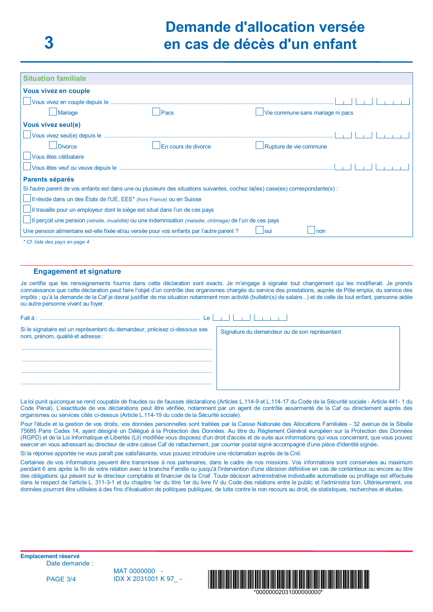| <b>Situation familiale</b>                                                                                                       |                     |                                  |  |  |  |
|----------------------------------------------------------------------------------------------------------------------------------|---------------------|----------------------------------|--|--|--|
| <b>Vous vivez en couple</b>                                                                                                      |                     |                                  |  |  |  |
|                                                                                                                                  |                     |                                  |  |  |  |
| Mariage                                                                                                                          | Pacs                | Vie commune sans mariage ni pacs |  |  |  |
| <b>Vous vivez seul(e)</b>                                                                                                        |                     |                                  |  |  |  |
| Vous vivez seul(e) depuis le                                                                                                     |                     |                                  |  |  |  |
| <b>Divorce</b>                                                                                                                   | En cours de divorce | Rupture de vie commune           |  |  |  |
| Vous êtes célibataire                                                                                                            |                     |                                  |  |  |  |
| Vous êtes veuf ou veuve depuis le ……………………………………………………………………………………                                                               |                     |                                  |  |  |  |
| <b>Parents séparés</b>                                                                                                           |                     |                                  |  |  |  |
| Si l'autre parent de vos enfants est dans une ou plusieurs des situations suivantes, cochez la(les) case(es) correspondante(s) : |                     |                                  |  |  |  |
| II réside dans un des États de l'UE, EEE* (hors France) ou en Suisse                                                             |                     |                                  |  |  |  |
| Il travaille pour un employeur dont le siège est situé dans l'un de ces pays                                                     |                     |                                  |  |  |  |
| Il perçoit une pension <i>(retraite, invalidité)</i> ou une indemnisation <i>(maladie, chômage)</i> de l'un de ces pays          |                     |                                  |  |  |  |
| Une pension alimentaire est-elle fixée et/ou versée pour vos enfants par l'autre parent?                                         |                     | l oui<br>non                     |  |  |  |
| * Cf. liste des pays en page 4                                                                                                   |                     |                                  |  |  |  |

## **Engagement et signature**

Je certifie que les renseignements fournis dans cette déclaration sont exacts. Je m'engage à signaler tout changement qui les modifierait. Je prends connaissance que cette déclaration peut faire l'objet d'un contrôle des organismes chargés du service des prestations, auprès de Pôle emploi, du service des impôts ; qu'à la demande de la Caf je devrai justifier de ma situation notamment mon activité (bulletin(s) de salaire...) et de celle de tout enfant, personne aidée ou autre personne vivant au foyer.

| $F$ ait à :                                                                                                  |                                               |
|--------------------------------------------------------------------------------------------------------------|-----------------------------------------------|
| Si le signataire est un représentant du demandeur, précisez ci-dessous ses nom, prénom, qualité et adresse : | Signature du demandeur ou de son représentant |
|                                                                                                              |                                               |
|                                                                                                              |                                               |
|                                                                                                              |                                               |
|                                                                                                              |                                               |

La loi punit quiconque se rend coupable de fraudes ou de fausses déclarations (Articles L.114-9 et L.114-17 du Code de la Sécurité sociale - Article 441-1 du Code Pénal). L'exactitude de vos déclarations peut être vérifiée, notamment par un agent de contrôle assermenté de la Caf ou directement auprès des organismes ou services cités ci-dessus (Article L.114-19 du code de la Sécurité sociale).

Pour l'étude et la gestion de vos droits, vos données personnelles sont traitées par la Caisse Nationale des Allocations Familiales - 32 avenue de la Sibelle 75685 Paris Cedex 14, avant désigné un Délégué à la Protection des Données. Au titre du Règlement Général européen sur la Protection des Données (RGPD) et de la Loi Informatique et Libertés (Lil) modifiée vous disposez d'un droit d'accès et de suite aux informations qui vous concernent, que vous pouvez exercer en vous adressant au directeur de votre caisse Caf de rattachement, par courrier postal signé accompagné d'une pièce d'identité signée..

Si la réponse apportée ne vous paraît pas satisfaisante, vous pouvez introduire une réclamation auprès de la Cnil.

Certaines de vos informations peuvent être transmises à nos partenaires, dans le cadre de nos missions. Vos informations sont conservées au maximum pendant 6 ans après la fin de votre relation avec la branche Famille ou jusqu'à l'intervention d'une décision définitive en cas de contentieux ou encore au titre des obligations qui pèsent sur le directeur comptable et financier de la Cnaf. Toute décision administrative individuelle automatisée ou profilage est effectuée dans le respect de l'article L. 311-3-1 et du chapitre 1er du titre 1er du livre IV du Code des relations entre le public et l'administra tion. Ultérieurement, vos données pourront être utilisées à des fins d'évaluation de politiques publiques, de lutte contre le non recours au droit, de statistiques, recherches et études.

**Emplacement réservé** Date demande :

**PAGE 3/4** 

MAT 0000000 -IDX X 2031001 K 97 -